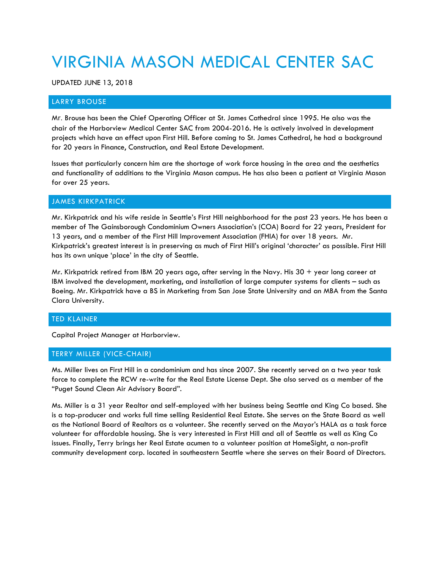# VIRGINIA MASON MEDICAL CENTER SAC

UPDATED JUNE 13, 2018

## LARRY BROUSE

Mr. Brouse has been the Chief Operating Officer at St. James Cathedral since 1995. He also was the chair of the Harborview Medical Center SAC from 2004-2016. He is actively involved in development projects which have an effect upon First Hill. Before coming to St. James Cathedral, he had a background for 20 years in Finance, Construction, and Real Estate Development.

Issues that particularly concern him are the shortage of work force housing in the area and the aesthetics and functionality of additions to the Virginia Mason campus. He has also been a patient at Virginia Mason for over 25 years.

## JAMES KIRKPATRICK

Mr. Kirkpatrick and his wife reside in Seattle's First Hill neighborhood for the past 23 years. He has been a member of The Gainsborough Condominium Owners Association's (COA) Board for 22 years, President for 13 years, and a member of the First Hill Improvement Association (FHIA) for over 18 years. Mr. Kirkpatrick's greatest interest is in preserving as much of First Hill's original 'character' as possible. First Hill has its own unique 'place' in the city of Seattle.

Mr. Kirkpatrick retired from IBM 20 years ago, after serving in the Navy. His  $30 +$  year long career at IBM involved the development, marketing, and installation of large computer systems for clients – such as Boeing. Mr. Kirkpatrick have a BS in Marketing from San Jose State University and an MBA from the Santa Clara University.

### TED KLAINER

Capital Project Manager at Harborview.

### TERRY MILLER (VICE-CHAIR)

Ms. Miller lives on First Hill in a condominium and has since 2007. She recently served on a two year task force to complete the RCW re-write for the Real Estate License Dept. She also served as a member of the "Puget Sound Clean Air Advisory Board".

Ms. Miller is a 31 year Realtor and self-employed with her business being Seattle and King Co based. She is a top-producer and works full time selling Residential Real Estate. She serves on the State Board as well as the National Board of Realtors as a volunteer. She recently served on the Mayor's HALA as a task force volunteer for affordable housing. She is very interested in First Hill and all of Seattle as well as King Co issues. Finally, Terry brings her Real Estate acumen to a volunteer position at HomeSight, a non-profit community development corp. located in southeastern Seattle where she serves on their Board of Directors.